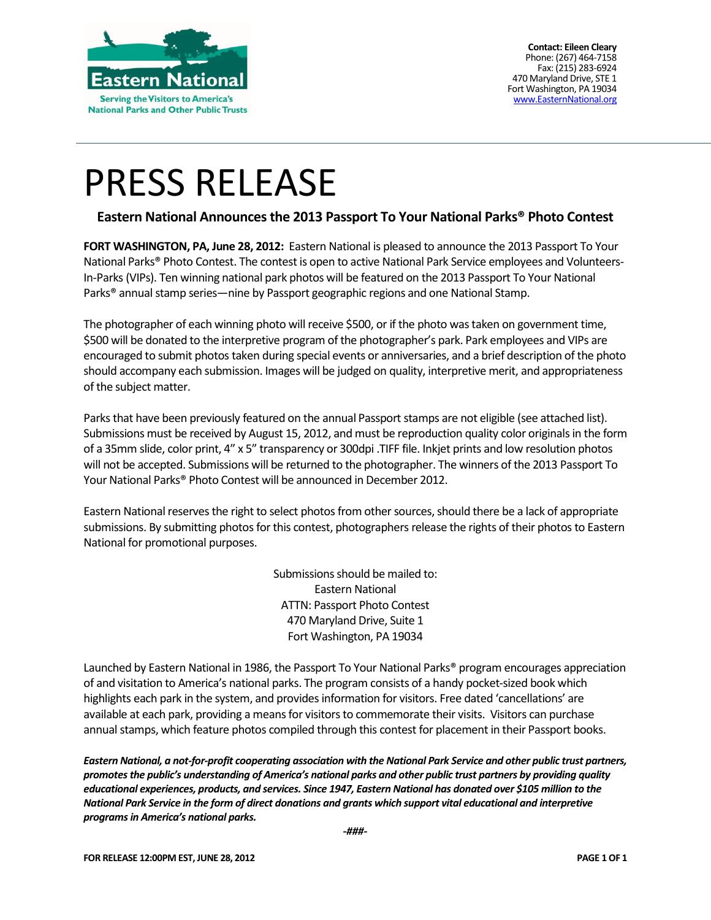

**Contact: Eileen Cleary** Phone: (267) 464-7158 Fax: (215) 283-6924 470 Maryland Drive, STE 1 Fort Washington, PA 19034 [www.EasternNational.org](http://www.easternnational.org/)

## PRESS RELEASE

#### **Eastern National Announces the 2013 Passport To Your National Parks® Photo Contest**

**FORT WASHINGTON, PA, June 28, 2012:** Eastern National is pleased to announce the 2013 Passport To Your National Parks® Photo Contest. The contest is open to active National Park Service employees and Volunteers-In-Parks (VIPs). Ten winning national park photos will be featured on the 2013 Passport To Your National Parks® annual stamp series—nine by Passport geographic regions and one National Stamp.

The photographer of each winning photo will receive \$500, or if the photo was taken on government time, \$500 will be donated to the interpretive program of the photographer's park. Park employees and VIPs are encouraged to submit photos taken during special events or anniversaries, and a brief description of the photo should accompany each submission. Images will be judged on quality, interpretive merit, and appropriateness of the subject matter.

Parks that have been previously featured on the annual Passport stamps are not eligible (see attached list). Submissions must be received by August 15, 2012, and must be reproduction quality color originals in the form of a 35mm slide, color print, 4" x 5" transparency or 300dpi .TIFF file. Inkjet prints and low resolution photos will not be accepted. Submissions will be returned to the photographer. The winners of the 2013 Passport To Your National Parks® Photo Contest will be announced in December 2012.

Eastern National reserves the right to select photos from other sources, should there be a lack of appropriate submissions. By submitting photos for this contest, photographers release the rights of their photos to Eastern National for promotional purposes.

> Submissions should be mailed to: Eastern National ATTN: Passport Photo Contest 470 Maryland Drive, Suite 1 Fort Washington, PA 19034

Launched by Eastern National in 1986, the Passport To Your National Parks® program encourages appreciation of and visitation to America's national parks. The program consists of a handy pocket-sized book which highlights each park in the system, and provides information for visitors. Free dated 'cancellations' are available at each park, providing a means for visitors to commemorate their visits. Visitors can purchase annual stamps, which feature photos compiled through this contest for placement in their Passport books.

*Eastern National, a not-for-profit cooperating association with the National Park Service and other public trust partners, promotes the public's understanding of America's national parks and other public trust partners by providing quality educational experiences, products, and services. Since 1947, Eastern National has donated over \$105 million to the National Park Service in the form of direct donations and grants which support vital educational and interpretive programsin America's national parks.*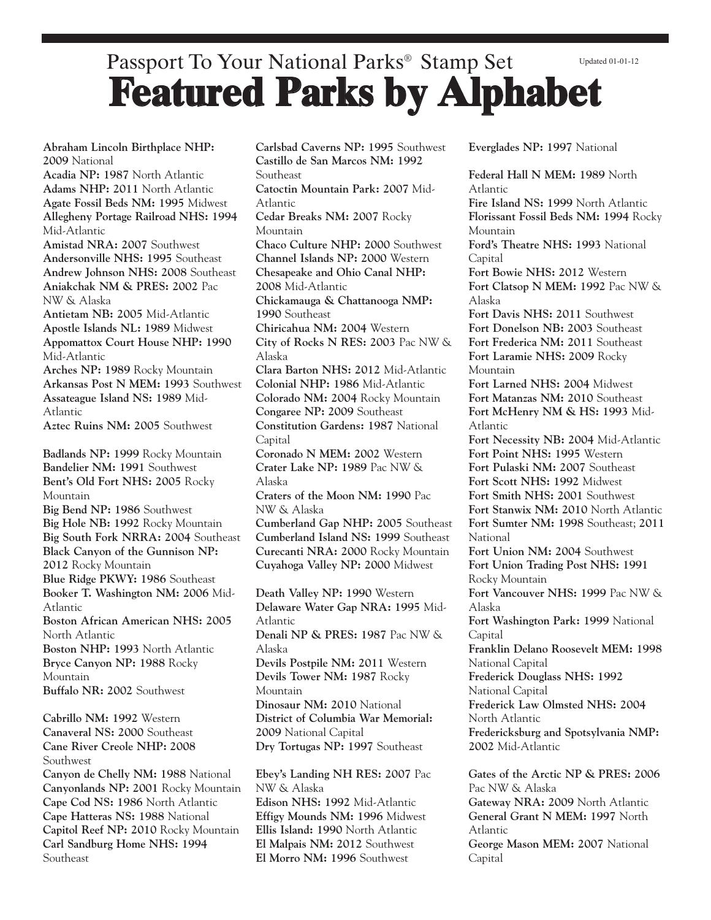#### Passport To Your National Parks® Stamp Set **Featured Parks by Alphabet** Updated 01-01-12

**Abraham Lincoln Birthplace NHP: 2009** National

**Acadia NP: 1987** North Atlantic **Adams NHP: 2011** North Atlantic **Agate Fossil Beds NM: 1995** Midwest **Allegheny Portage Railroad NHS: 1994** Mid-Atlantic

**Amistad NRA: 2007** Southwest **Andersonville NHS: 1995** Southeast **Andrew Johnson NHS: 2008** Southeast **Aniakchak NM & PRES: 2002** Pac NW & Alaska

**Antietam NB: 2005** Mid-Atlantic **Apostle Islands NL: 1989** Midwest **Appomattox Court House NHP: 1990** Mid-Atlantic

**Arches NP: 1989** Rocky Mountain **Arkansas Post N MEM: 1993** Southwest **Assateague Island NS: 1989** Mid-Atlantic

**Aztec Ruins NM: 2005** Southwest

**Badlands NP: 1999** Rocky Mountain **Bandelier NM: 1991** Southwest **Bent's Old Fort NHS: 2005** Rocky Mountain **Big Bend NP: 1986** Southwest **Big Hole NB: 1992** Rocky Mountain **Big South Fork NRRA: 2004** Southeast **Black Canyon of the Gunnison NP: 2012** Rocky Mountain **Blue Ridge PKWY: 1986** Southeast **Booker T. Washington NM: 2006** Mid-Atlantic **Boston African American NHS: 2005** North Atlantic **Boston NHP: 1993** North Atlantic **Bryce Canyon NP: 1988** Rocky Mountain **Buffalo NR: 2002** Southwest

**Cabrillo NM: 1992** Western **Canaveral NS: 2000** Southeast **Cane River Creole NHP: 2008** Southwest

**Canyon de Chelly NM: 1988** National **Canyonlands NP: 2001** Rocky Mountain **Cape Cod NS: 1986** North Atlantic **Cape Hatteras NS: 1988** National **Capitol Reef NP: 2010** Rocky Mountain **Carl Sandburg Home NHS: 1994** Southeast

**Carlsbad Caverns NP: 1995** Southwest **Castillo de San Marcos NM: 1992 Southeast Catoctin Mountain Park: 2007** Mid-Atlantic **Cedar Breaks NM: 2007** Rocky Mountain **Chaco Culture NHP: 2000** Southwest **Channel Islands NP: 2000** Western **Chesapeake and Ohio Canal NHP: 2008** Mid-Atlantic **Chickamauga & Chattanooga NMP: 1990** Southeast **Chiricahua NM: 2004** Western **City of Rocks N RES: 2003** Pac NW & Alaska **Clara Barton NHS: 2012** Mid-Atlantic **Colonial NHP: 1986** Mid-Atlantic **Colorado NM: 2004** Rocky Mountain **Congaree NP: 2009** Southeast **Constitution Gardens: 1987** National **Capital Coronado N MEM: 2002** Western **Crater Lake NP: 1989** Pac NW & Alaska **Craters of the Moon NM: 1990** Pac NW & Alaska **Cumberland Gap NHP: 2005** Southeast **Cumberland Island NS: 1999** Southeast **Curecanti NRA: 2000** Rocky Mountain **Cuyahoga Valley NP: 2000** Midwest **Death Valley NP: 1990** Western **Delaware Water Gap NRA: 1995** Mid-Atlantic

**Denali NP & PRES: 1987** Pac NW & Alaska **Devils Postpile NM: 2011** Western **Devils Tower NM: 1987** Rocky **Mountain Dinosaur NM: 2010** National **District of Columbia War Memorial: 2009** National Capital **Dry Tortugas NP: 1997** Southeast

**Ebey's Landing NH RES: 2007** Pac NW & Alaska **Edison NHS: 1992** Mid-Atlantic **Effigy Mounds NM: 1996** Midwest **Ellis Island: 1990** North Atlantic **El Malpais NM: 2012** Southwest **El Morro NM: 1996** Southwest

**Everglades NP: 1997** National

**Federal Hall N MEM: 1989** North Atlantic **Fire Island NS: 1999** North Atlantic **Florissant Fossil Beds NM: 1994** Rocky Mountain **Ford's Theatre NHS: 1993** National Capital **Fort Bowie NHS: 2012** Western **Fort Clatsop N MEM: 1992** Pac NW & Alaska **Fort Davis NHS: 2011** Southwest **Fort Donelson NB: 2003** Southeast **Fort Frederica NM: 2011** Southeast **Fort Laramie NHS: 2009** Rocky **Mountain Fort Larned NHS: 2004** Midwest **Fort Matanzas NM: 2010** Southeast **Fort McHenry NM & HS: 1993** Mid-Atlantic **Fort Necessity NB: 2004** Mid-Atlantic **Fort Point NHS: 1995** Western **Fort Pulaski NM: 2007** Southeast **Fort Scott NHS: 1992** Midwest **Fort Smith NHS: 2001** Southwest **Fort Stanwix NM: 2010** North Atlantic **Fort Sumter NM: 1998** Southeast; **2011** National **Fort Union NM: 2004** Southwest **Fort Union Trading Post NHS: 1991** Rocky Mountain **Fort Vancouver NHS: 1999** Pac NW & Alaska **Fort Washington Park: 1999** National Capital **Franklin Delano Roosevelt MEM: 1998** National Capital **Frederick Douglass NHS: 1992** National Capital **Frederick Law Olmsted NHS: 2004** North Atlantic **Fredericksburg and Spotsylvania NMP: 2002** Mid-Atlantic **Gates of the Arctic NP & PRES: 2006**

Pac NW & Alaska **Gateway NRA: 2009** North Atlantic **General Grant N MEM: 1997** North Atlantic **George Mason MEM: 2007** National Capital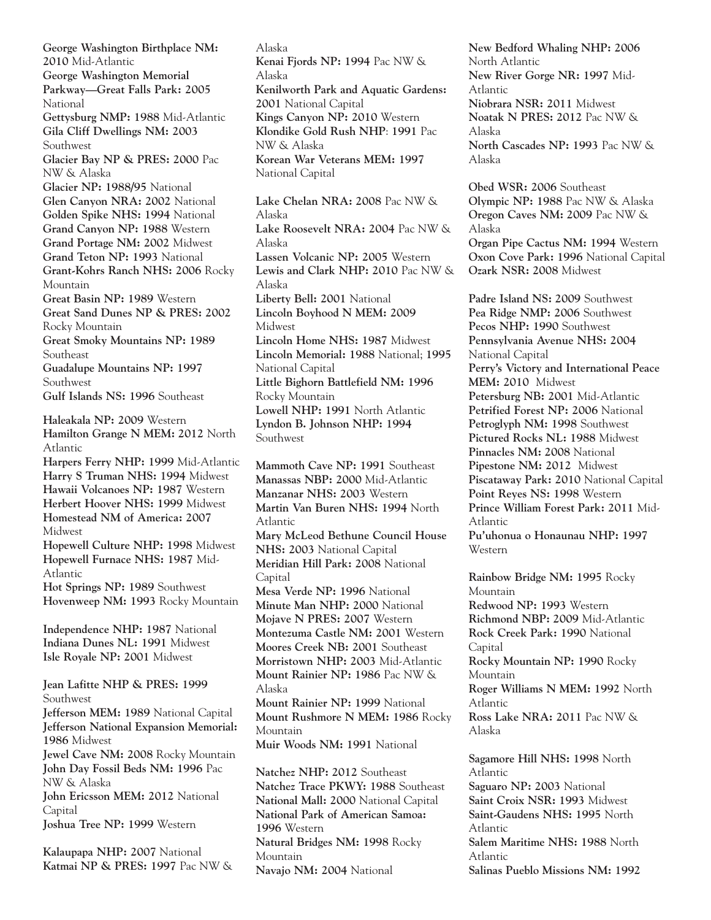**George Washington Birthplace NM: 2010** Mid-Atlantic **George Washington Memorial Parkway—Great Falls Park: 2005 National Gettysburg NMP: 1988** Mid-Atlantic **Gila Cliff Dwellings NM: 2003** Southwest **Glacier Bay NP & PRES: 2000** Pac NW & Alaska **Glacier NP: 1988/95** National **Glen Canyon NRA: 2002** National **Golden Spike NHS: 1994** National **Grand Canyon NP: 1988** Western **Grand Portage NM: 2002** Midwest **Grand Teton NP: 1993** National **Grant-Kohrs Ranch NHS: 2006** Rocky Mountain **Great Basin NP: 1989** Western **Great Sand Dunes NP & PRES: 2002** Rocky Mountain **Great Smoky Mountains NP: 1989** Southeast **Guadalupe Mountains NP: 1997** Southwest **Gulf Islands NS: 1996** Southeast **Haleakala NP: 2009** Western **Hamilton Grange N MEM: 2012** North Atlantic **Harpers Ferry NHP: 1999** Mid-Atlantic **Harry S Truman NHS: 1994** Midwest **Hawaii Volcanoes NP: 1987** Western **Herbert Hoover NHS: 1999** Midwest **Homestead NM of America: 2007** Midwest **Hopewell Culture NHP: 1998** Midwest **Hopewell Furnace NHS: 1987** Mid-Atlantic **Hot Springs NP: 1989** Southwest **Hovenweep NM: 1993** Rocky Mountain **Independence NHP: 1987** National **Indiana Dunes NL: 1991** Midwest **Isle Royale NP: 2001** Midwest **Jean Lafitte NHP & PRES: 1999** Southwest **Jefferson MEM: 1989** National Capital **Jefferson National Expansion Memorial: 1986** Midwest **Jewel Cave NM: 2008** Rocky Mountain **John Day Fossil Beds NM: 1996** Pac NW & Alaska **John Ericsson MEM: 2012** National Capital **Joshua Tree NP: 1999** Western

**Kalaupapa NHP: 2007** National **Katmai NP & PRES: 1997** Pac NW & Alaska **Kenai Fjords NP: 1994** Pac NW & Alaska **Kenilworth Park and Aquatic Gardens: 2001** National Capital **Kings Canyon NP: 2010** Western **Klondike Gold Rush NHP**: **1991** Pac NW & Alaska **Korean War Veterans MEM: 1997** National Capital

**Lake Chelan NRA: 2008** Pac NW & Alaska **Lake Roosevelt NRA: 2004** Pac NW & Alaska **Lassen Volcanic NP: 2005** Western **Lewis and Clark NHP: 2010** Pac NW & Alaska **Liberty Bell: 2001** National **Lincoln Boyhood N MEM: 2009** Midwest **Lincoln Home NHS: 1987** Midwest **Lincoln Memorial: 1988** National; **1995** National Capital **Little Bighorn Battlefield NM: 1996** Rocky Mountain **Lowell NHP: 1991** North Atlantic **Lyndon B. Johnson NHP: 1994** Southwest

**Mammoth Cave NP: 1991** Southeast **Manassas NBP: 2000** Mid-Atlantic **Manzanar NHS: 2003** Western **Martin Van Buren NHS: 1994** North Atlantic **Mary McLeod Bethune Council House NHS: 2003** National Capital **Meridian Hill Park: 2008** National Capital **Mesa Verde NP: 1996** National **Minute Man NHP: 2000** National **Mojave N PRES: 2007** Western **Montezuma Castle NM: 2001** Western **Moores Creek NB: 2001** Southeast **Morristown NHP: 2003** Mid-Atlantic **Mount Rainier NP: 1986** Pac NW & Alaska **Mount Rainier NP: 1999** National **Mount Rushmore N MEM: 1986** Rocky Mountain **Muir Woods NM: 1991** National

**Natchez NHP: 2012** Southeast **Natchez Trace PKWY: 1988** Southeast **National Mall: 2000** National Capital **National Park of American Samoa: 1996** Western **Natural Bridges NM: 1998** Rocky **Mountain Navajo NM: 2004** National

**New Bedford Whaling NHP: 2006** North Atlantic **New River Gorge NR: 1997** Mid-Atlantic **Niobrara NSR: 2011** Midwest **Noatak N PRES: 2012** Pac NW & Alaska **North Cascades NP: 1993** Pac NW & Alaska

**Obed WSR: 2006** Southeast **Olympic NP: 1988** Pac NW & Alaska **Oregon Caves NM: 2009** Pac NW & Alaska **Organ Pipe Cactus NM: 1994** Western **Oxon Cove Park: 1996** National Capital **Ozark NSR: 2008** Midwest

**Padre Island NS: 2009** Southwest **Pea Ridge NMP: 2006** Southwest **Pecos NHP: 1990** Southwest **Pennsylvania Avenue NHS: 2004** National Capital **Perry's Victory and International Peace MEM: 2010** Midwest **Petersburg NB: 2001** Mid-Atlantic **Petrified Forest NP: 2006** National **Petroglyph NM: 1998** Southwest **Pictured Rocks NL: 1988** Midwest **Pinnacles NM: 2008** National **Pipestone NM: 2012** Midwest **Piscataway Park: 2010** National Capital **Point Reyes NS: 1998** Western **Prince William Forest Park: 2011** Mid-Atlantic **Pu'uhonua o Honaunau NHP: 1997** Western

**Rainbow Bridge NM: 1995** Rocky Mountain **Redwood NP: 1993** Western **Richmond NBP: 2009** Mid-Atlantic **Rock Creek Park: 1990** National Capital **Rocky Mountain NP: 1990** Rocky Mountain **Roger Williams N MEM: 1992** North Atlantic **Ross Lake NRA: 2011** Pac NW & Alaska **Sagamore Hill NHS: 1998** North Atlantic **Saguaro NP: 2003** National **Saint Croix NSR: 1993** Midwest **Saint-Gaudens NHS: 1995** North

Atlantic **Salem Maritime NHS: 1988** North Atlantic **Salinas Pueblo Missions NM: 1992**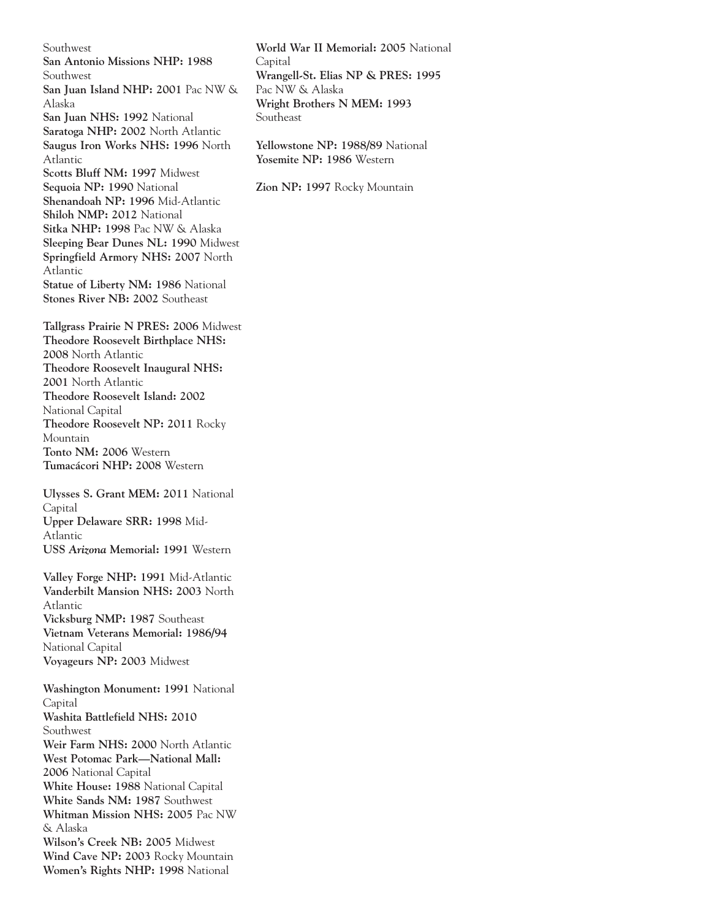Southwest **San Antonio Missions NHP: 1988** Southwest **San Juan Island NHP: 2001** Pac NW & Alaska **San Juan NHS: 1992** National **Saratoga NHP: 2002** North Atlantic **Saugus Iron Works NHS: 1996** North Atlantic **Scotts Bluff NM: 1997** Midwest **Sequoia NP: 1990** National **Shenandoah NP: 1996** Mid-Atlantic **Shiloh NMP: 2012** National **Sitka NHP: 1998** Pac NW & Alaska **Sleeping Bear Dunes NL: 1990** Midwest **Springfield Armory NHS: 2007** North Atlantic **Statue of Liberty NM: 1986** National **Stones River NB: 2002** Southeast

**Tallgrass Prairie N PRES: 2006** Midwest **Theodore Roosevelt Birthplace NHS: 2008** North Atlantic **Theodore Roosevelt Inaugural NHS: 2001** North Atlantic **Theodore Roosevelt Island: 2002** National Capital **Theodore Roosevelt NP: 2011** Rocky Mountain **Tonto NM: 2006** Western **Tumacácori NHP: 2008** Western

**Ulysses S. Grant MEM: 2011** National Capital **Upper Delaware SRR: 1998** Mid-Atlantic **USS** *Arizona* **Memorial: 1991** Western

**Valley Forge NHP: 1991** Mid-Atlantic **Vanderbilt Mansion NHS: 2003** North Atlantic **Vicksburg NMP: 1987** Southeast **Vietnam Veterans Memorial: 1986/94** National Capital **Voyageurs NP: 2003** Midwest

**Washington Monument: 1991** National **Capital Washita Battlefield NHS: 2010** Southwest **Weir Farm NHS: 2000** North Atlantic **West Potomac Park—National Mall: 2006** National Capital **White House: 1988** National Capital **White Sands NM: 1987** Southwest **Whitman Mission NHS: 2005** Pac NW & Alaska **Wilson's Creek NB: 2005** Midwest **Wind Cave NP: 2003** Rocky Mountain **Women's Rights NHP: 1998** National

**World War II Memorial: 2005** National **Capital Wrangell-St. Elias NP & PRES: 1995** Pac NW & Alaska **Wright Brothers N MEM: 1993** Southeast

**Yellowstone NP: 1988/89** National **Yosemite NP: 1986** Western

**Zion NP: 1997** Rocky Mountain